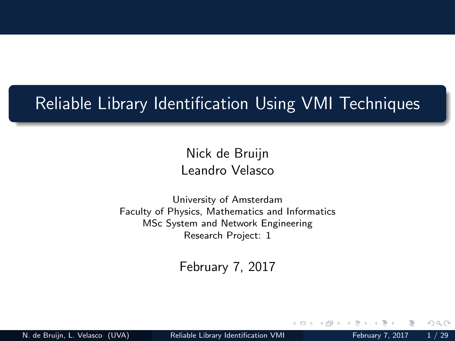#### <span id="page-0-0"></span>Reliable Library Identification Using VMI Techniques

Nick de Bruijn Leandro Velasco

University of Amsterdam Faculty of Physics, Mathematics and Informatics MSc System and Network Engineering Research Project: 1

February 7, 2017

N. de Bruijn, L. Velasco (UVA) [Reliable Library Identification VMI](#page-28-0) February 7, 2017 1 / 29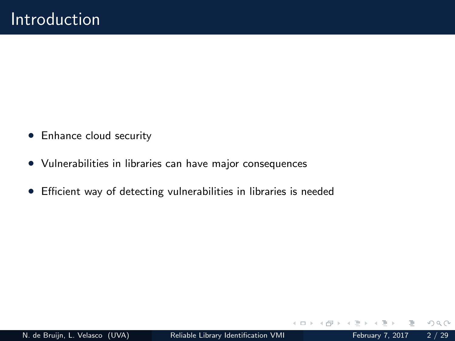- Enhance cloud security
- Vulnerabilities in libraries can have major consequences
- Efficient way of detecting vulnerabilities in libraries is needed

4 **E** F

 $QQQ$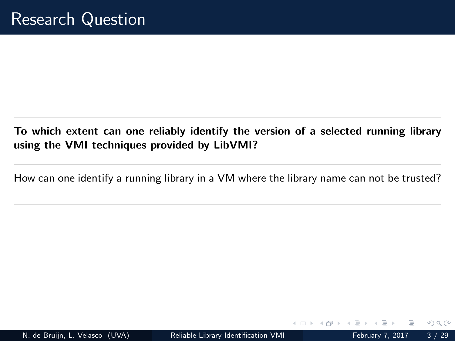#### To which extent can one reliably identify the version of a selected running library using the VMI techniques provided by LibVMI?

How can one identify a running library in a VM where the library name can not be trusted?

 $QQQ$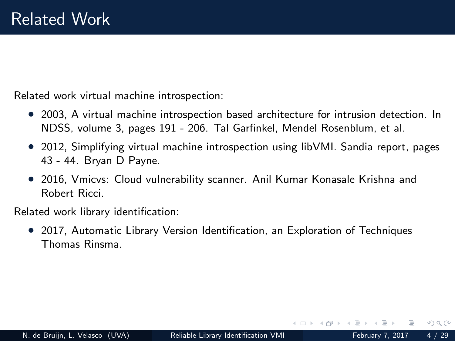<span id="page-3-0"></span>Related work virtual machine introspection:

- 2003, A virtual machine introspection based architecture for intrusion detection. In NDSS, volume 3, pages 191 - 206. Tal Garfinkel, Mendel Rosenblum, et al.
- 2012, Simplifying virtual machine introspection using libVMI. Sandia report, pages 43 - 44. Bryan D Payne.
- 2016, Vmicvs: Cloud vulnerability scanner. Anil Kumar Konasale Krishna and Robert Ricci.

Related work library identification:

• 2017, Automatic Library Version Identification, an Exploration of Techniques Thomas Rinsma.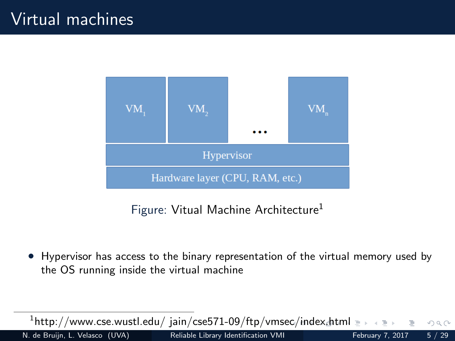<span id="page-4-0"></span>

Figure: Vitual Machine Architecture<sup>1</sup>

• Hypervisor has access to the binary representation of the virtual memory used by the OS running inside the virtual machine

 $^{\rm 1}$ http://www.cse.wust[l](#page-0-0).edu/ jain/cse $571$ -09/ftp/vmse[c/](#page-3-0)i[nd](#page-5-0)[ex](#page-3-0)[.h](#page-4-0)[tm](#page-5-0)l  $\equiv$   $\rightarrow$  $QQQ$ N. de Bruijn, L. Velasco (UVA) [Reliable Library Identification VMI](#page-0-0) February 7, 2017 5 / 29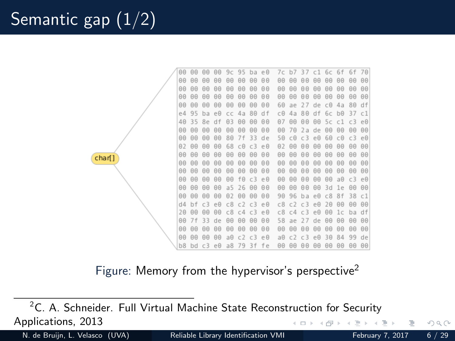<span id="page-5-0"></span>

|        | 00 | 00 | 00             | 00        | 9c | 95             | ba             | $e \theta$ | 7c        | b7             | 37             | c1            | 6с             | 6f             | 6f             | 70        |
|--------|----|----|----------------|-----------|----|----------------|----------------|------------|-----------|----------------|----------------|---------------|----------------|----------------|----------------|-----------|
|        | 00 | 00 | 00             | 00        | 00 | 00             | 00             | 00         | 00        | 00             | 00             | 00            | 00             | 00             | 00             | 00        |
|        | 00 | 00 | 00             | 00        | 00 | 00             | 00             | 00         | 00        | 00             | 00             | 00            | 00             | 00             | 00             | 00        |
|        | 00 | 00 | 00             | 00        | 00 | 00             | 00             | 00         | 00        | 00             | 00             | 00            | 00             | 00             | 00             | 00        |
|        | 00 | 00 | 00             | 00        | 00 | 00             | 00             | 00         | 60        | ae             | 77             | de            | C <sub>0</sub> | 4a             | 80             | df        |
|        | e4 | 95 | ba             | e0        | сc | 4a             | 80             | d f        | сΘ        | 4а             | 80             | df            | 6c             | $h\theta$      | 37             | c1        |
|        | 40 | 35 | 8e             | df        | 03 | 00             | 00             | 00         | 07        | 00             | 00             | 00            | 5c             | c1             | c3             | $e\theta$ |
|        | 00 | 00 | 00             | 00        | 00 | 00             | 00             | 00         | 00        | 70             | 2a             | de            | 00             | 00             | 00             | 00        |
|        | 00 | 00 | 00             | 00        | 80 | 7f             | 33             | de         | 50        | c0             | C <sub>3</sub> | $e\theta$     | 60             | C <sub>0</sub> | C <sub>3</sub> | $e\theta$ |
|        | 02 | 00 | 00             | 00        | 68 | C <sub>0</sub> | C <sub>3</sub> | $e \theta$ | 02        | 00             | 00             | 00            | 00             | 00             | 00             | 00        |
| char[] | 00 | 00 | 00             | 00        | 00 | 00             | 00             | 00         | 00        | 00             | 00             | 00            | 00             | 00             | 00             | 00        |
|        | 00 | 00 | 00             | 00        | 00 | 00             | 00             | 00         | 00        | 00             | 00             | 00            | 00             | 00             | 00             | 00        |
|        | 00 | 00 | 00             | 00        | 00 | 00             | 00             | 00         | 00        | 00             | 00             | 00            | 00             | 00             | 00             | 00        |
|        | 00 | 00 | 00             | 00        | 00 | f0             | c3             | e 0        | 00        | 00             | 00             | 00            | 00             | $a\theta$      | C <sub>3</sub> | $e\theta$ |
|        | 00 | 00 | 00             | 00        | a5 | 26             | 00             | 00         | 00        | 00             | 00             | 00            | 3d             | 1e             | 00             | 00        |
|        | 00 | 00 | 00             | 00        | 02 | 00             | 00             | 00         | 90        | 96             | b a            | e0            | C8             | 8f             | 38             | c1        |
|        | d4 |    | с3             | e0        | C8 | c2             | c3             | $e \theta$ | C8        | c7             | r3             | $\cap$ $\cap$ | 20             | 00             | 00             | 00        |
|        | 20 | 00 | 00             | 00        | c8 | C <sub>4</sub> | C <sub>3</sub> | $e \theta$ | C8        | C <sub>4</sub> | c3             | $e\theta$     | 00             | 1 <sup>c</sup> | ba             | df        |
|        | 00 | 7f | 33             | de        | 00 | 00             | 00             | 00         | 58        | ae             | 27             | de            | 00             | 00             | 00             | 00        |
|        | 00 | 00 | 00             | 00        | 00 | 00             | 00             | 00         | 00        | 00             | 00             | 00            | 00             | 00             | 00             | 00        |
|        | 00 | 00 | 00             | 00        | a0 | c2             | c3             | $e \theta$ | $a\theta$ |                | c3             | $e\theta$     | 30             | 84             | 99             | de        |
|        | b8 | bd | C <sub>3</sub> | $e\theta$ | a8 | 79             | 3f             | fe         | 00        | 00             | 00             | 00            | 00             | 00             | 00             | 00        |

Figure: Memory from the hypervisor's perspective<sup>2</sup>

 $2$ C. A. Schneider. Full Virtual Machine State Reconstruction for Security Applications, 2013  $\leftarrow$ 

N. de Bruijn, L. Velasco (UVA) [Reliable Library Identification VMI](#page-0-0) February 7, 2017 6 / 29

 $2Q$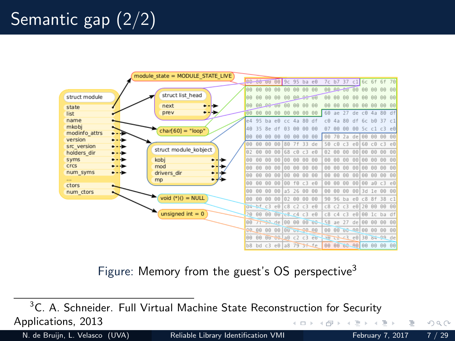# Semantic gap (2/2)



Figure: Memory from the guest's OS perspective<sup>3</sup>

<sup>3</sup>C. A. Schneider. Full Virtual Machine State Reconstruction for Security Applications, 2013  $\leftarrow$   $\Box$   $\rightarrow$  $\leftarrow$   $\overline{m}$   $\rightarrow$ 

N. de Bruijn, L. Velasco (UVA) [Reliable Library Identification VMI](#page-0-0) February 7, 2017 7 / 29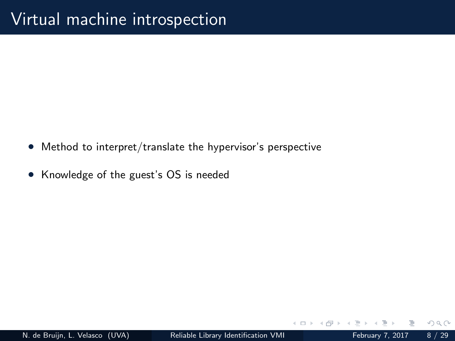- Method to interpret/translate the hypervisor's perspective
- Knowledge of the guest's OS is needed

 $\leftarrow$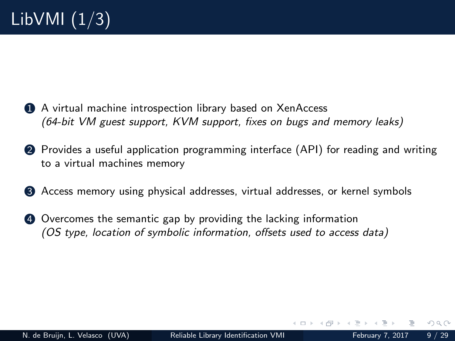- 1 A virtual machine introspection library based on XenAccess (64-bit VM guest support, KVM support, fixes on bugs and memory leaks)
- 2 Provides a useful application programming interface (API) for reading and writing to a virtual machines memory
- 3 Access memory using physical addresses, virtual addresses, or kernel symbols
- 4 Overcomes the semantic gap by providing the lacking information (OS type, location of symbolic information, offsets used to access data)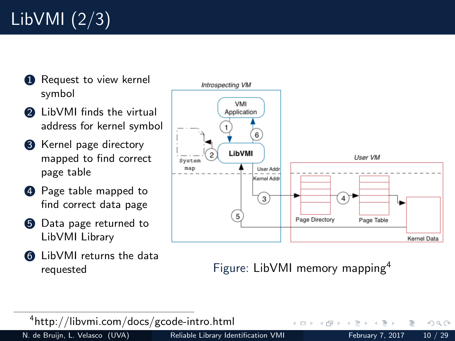# LibVMI (2/3)

- **1** Request to view kernel symbol
- **2** LibVMI finds the virtual address for kernel symbol
- **3** Kernel page directory mapped to find correct page table
- **4** Page table mapped to find correct data page
- **5** Data page returned to LibVMI Library
- **6** LibVMI returns the data



requested Figure: LibVMI memory mapping<sup>4</sup>

4 **D** F

4 http://libvmi.com/docs/gcode-intro.html

N. de Bruijn, L. Velasco (UVA) [Reliable Library Identification VMI](#page-0-0) February 7, 2017 10 / 29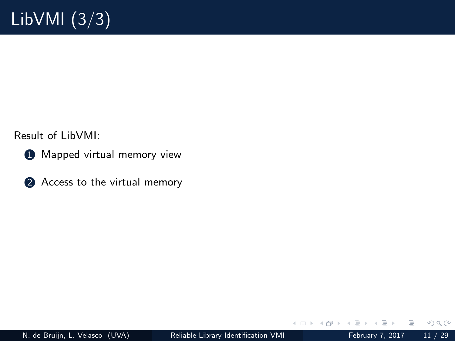Result of LibVMI:

- **1** Mapped virtual memory view
- **2** Access to the virtual memory

4 **E** F

n ⊳ ⊪

Ε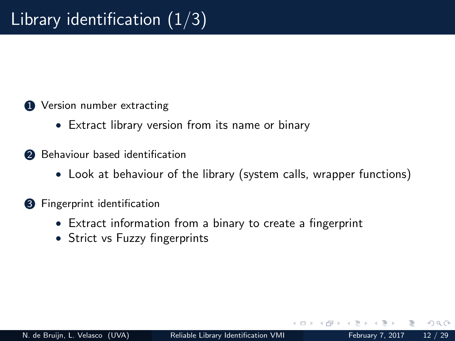- **1** Version number extracting
	- Extract library version from its name or binary
- **2** Behaviour based identification
	- Look at behaviour of the library (system calls, wrapper functions)
- **3** Fingerprint identification
	- Extract information from a binary to create a fingerprint
	- Strict vs Fuzzy fingerprints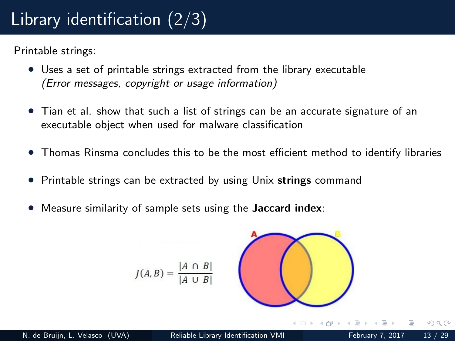# Library identification (2/3)

Printable strings:

- Uses a set of printable strings extracted from the library executable (Error messages, copyright or usage information)
- Tian et al. show that such a list of strings can be an accurate signature of an executable object when used for malware classification
- Thomas Rinsma concludes this to be the most efficient method to identify libraries
- Printable strings can be extracted by using Unix strings command
- Measure similarity of sample sets using the **Jaccard index**:

$$
J(A,B) = \frac{|A \cap B|}{|A \cup B|}
$$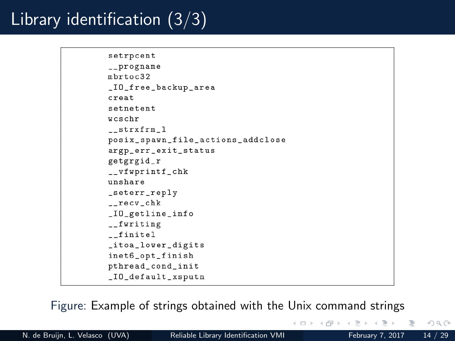# Library identification (3/3)

```
setrpcent
__progname
mhrtoc32_IO_free_backup_area
creat
setnetent
weschr
strxfrm 1
posix_spawn_file_actions_addclose
argp_err_exit_status
getgrgid_r
__vfwprintf_chk
unshare
_seterr_reply
_{--}recv_{-}chk
_IO_getline_info
__fwriting
finitel
_itoa_lower_digits
inet6_opt_finish
pthread_cond_init
_IO_default_xsputn
```
Figure: Example of strings obtained with the Unix command strings

N. de Bruijn, L. Velasco (UVA) [Reliable Library Identification VMI](#page-0-0) February 7, 2017 14 / 29

∢ □ ▶ ⊣ <sub>□</sub> ▶ ⊣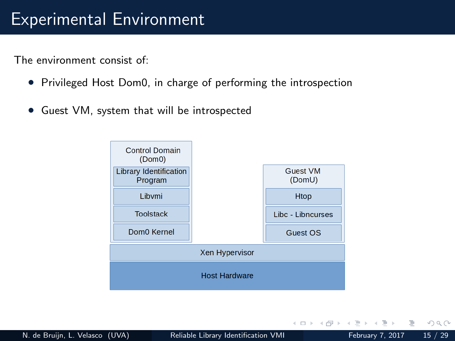#### Experimental Environment

The environment consist of:

- Privileged Host Dom0, in charge of performing the introspection
- Guest VM, system that will be introspected



B.

 $QQQ$ 

 $\sim$  $\equiv$ 

 $\leftarrow$   $\Box$   $\rightarrow$ 

- ← 冊 → → ← → ←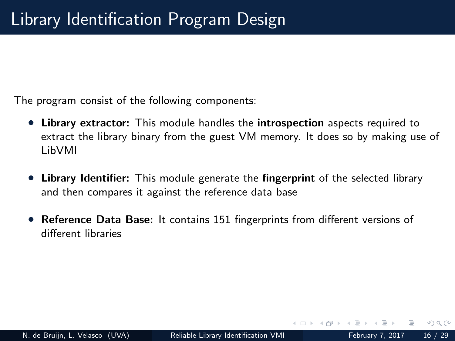The program consist of the following components:

- Library extractor: This module handles the introspection aspects required to extract the library binary from the guest VM memory. It does so by making use of LibVMI
- Library Identifier: This module generate the fingerprint of the selected library and then compares it against the reference data base
- Reference Data Base: It contains 151 fingerprints from different versions of different libraries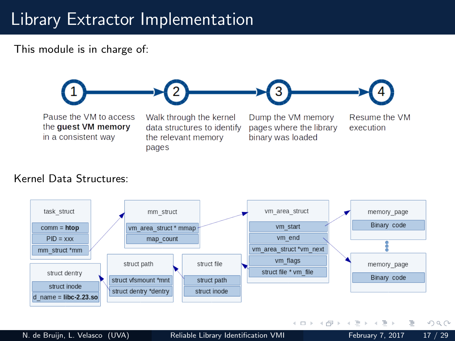### Library Extractor Implementation

This module is in charge of:



#### Kernel Data Structures:



N. de Bruijn, L. Velasco (UVA) [Reliable Library Identification VMI](#page-0-0) February 7, 2017 17 / 29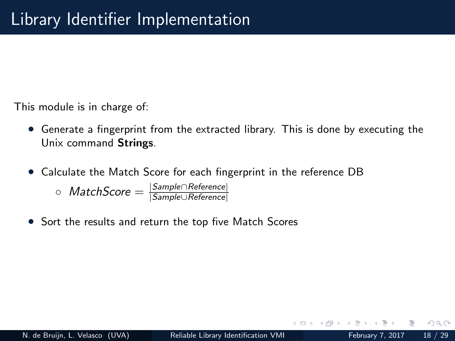This module is in charge of:

- Generate a fingerprint from the extracted library. This is done by executing the Unix command Strings.
- Calculate the Match Score for each fingerprint in the reference DB

 $\circ$  MatchScore  $=\frac{|Sample \cap Reference|}{|Sample \cap Reference|}$ |Sample∪Reference|

• Sort the results and return the top five Match Scores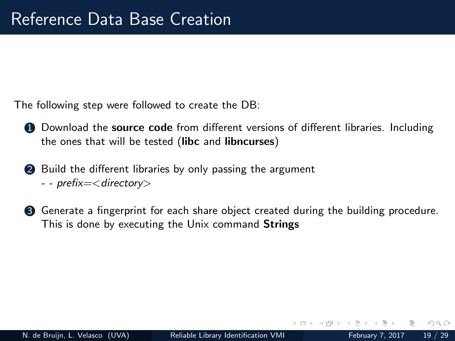The following step were followed to create the DB:

- **1** Download the source code from different versions of different libraries. Including the ones that will be tested (libc and libncurses)
- 2 Build the different libraries by only passing the argument - - prefix=< directory>
- **3** Generate a fingerprint for each share object created during the building procedure. This is done by executing the Unix command Strings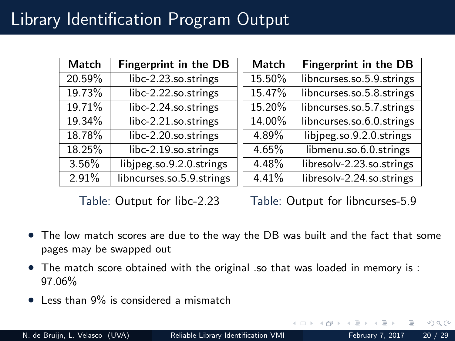### Library Identification Program Output

| Match    | Fingerprint in the DB     | <b>Match</b> | Fingerprint in the DB     |
|----------|---------------------------|--------------|---------------------------|
| 20.59%   | libc-2.23.so.strings      | 15.50%       | libncurses.so.5.9.strings |
| 19.73%   | libc-2.22.so.strings      | 15.47%       | libncurses.so.5.8.strings |
| 19.71%   | libc-2.24.so.strings      | 15.20%       | libncurses.so.5.7.strings |
| 19.34%   | libc-2.21.so.strings      | 14.00%       | libncurses.so.6.0.strings |
| 18.78%   | libc-2.20.so.strings      | 4.89%        | libjpeg.so.9.2.0.strings  |
| 18.25%   | libc-2.19.so.strings      | 4.65%        | libmenu.so.6.0.strings    |
| $3.56\%$ | libjpeg.so.9.2.0.strings  | 4.48%        | libresolv-2.23.so.strings |
| 2.91%    | libncurses.so.5.9.strings | 4.41%        | libresolv-2.24.so.strings |

Table: Output for libc-2.23

Table: Output for libncurses-5.9

- The low match scores are due to the way the DB was built and the fact that some pages may be swapped out
- The match score obtained with the original .so that was loaded in memory is : 97.06%
- Less than 9% is considered a mismatch

 $\Omega$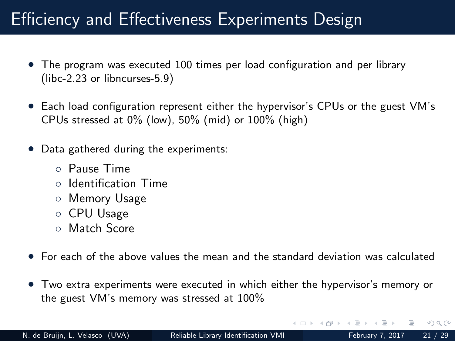### Efficiency and Effectiveness Experiments Design

- The program was executed 100 times per load configuration and per library (libc-2.23 or libncurses-5.9)
- Each load configuration represent either the hypervisor's CPUs or the guest VM's CPUs stressed at 0% (low), 50% (mid) or 100% (high)
- Data gathered during the experiments:
	- Pause Time
	- Identification Time
	- Memory Usage
	- CPU Usage
	- Match Score
- For each of the above values the mean and the standard deviation was calculated
- Two extra experiments were executed in which either the hypervisor's memory or the guest VM's memory was stressed at 100%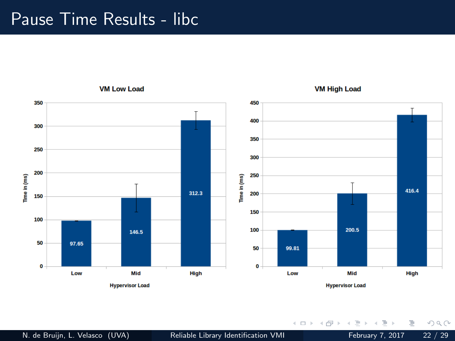#### Pause Time Results - libc

**VM Low Load** 



**VM High Load** 

 $\leftarrow$   $\Box$   $\rightarrow$ 

4 伺 ▶

 $\overline{A}$ 

 $\equiv$ 

È.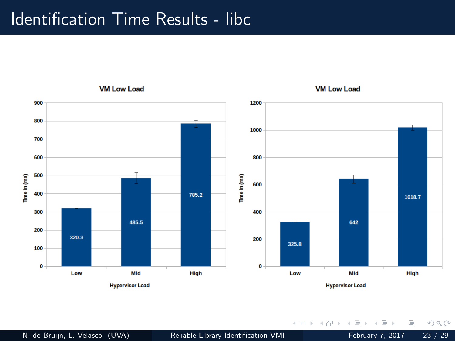#### Identification Time Results - libc



N. de Bruijn, L. Velasco (UVA) [Reliable Library Identification VMI](#page-0-0) February 7, 2017 23 / 29

 $\leftarrow$   $\Box$   $\rightarrow$ 

同

 $\sim$  $\,$ 

Þ

Ξ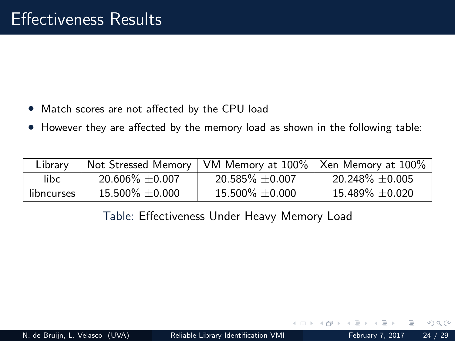- Match scores are not affected by the CPU load
- However they are affected by the memory load as shown in the following table:

| Library    |                      | Not Stressed Memory   VM Memory at 100%   Xen Memory at 100% |                      |
|------------|----------------------|--------------------------------------------------------------|----------------------|
| libc.      | $20.606\% \pm 0.007$ | $20.585\% \pm 0.007$                                         | $20.248\% \pm 0.005$ |
| libncurses | $15.500\% \pm 0.000$ | $15.500\% \pm 0.000$                                         | $15.489\% \pm 0.020$ |

Table: Effectiveness Under Heavy Memory Load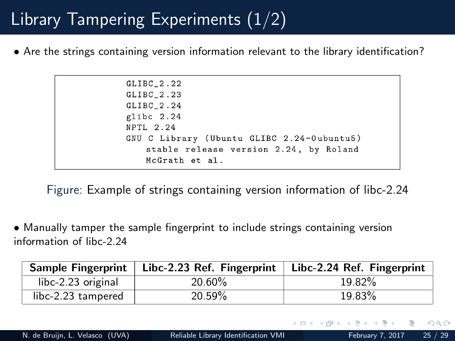## Library Tampering Experiments (1/2)

• Are the strings containing version information relevant to the library identification?

 $GLIBC_2.22$  $GLIBC_2.23$ GLIBC<sub>2.24</sub> glibc 2.24 NPTL 2.24 GNU C Library (Ubuntu GLIBC 2.24-Oubuntu5) stable release version 2.24, by Roland McGrath et al.

Figure: Example of strings containing version information of libc-2.24

• Manually tamper the sample fingerprint to include strings containing version information of libc-2.24

|                    | Sample Fingerprint   Libc-2.23 Ref. Fingerprint   Libc-2.24 Ref. Fingerprint |        |
|--------------------|------------------------------------------------------------------------------|--------|
| libc-2.23 original | 20.60%                                                                       | 19.82% |
| libc-2.23 tampered | 20.59%                                                                       | 19.83% |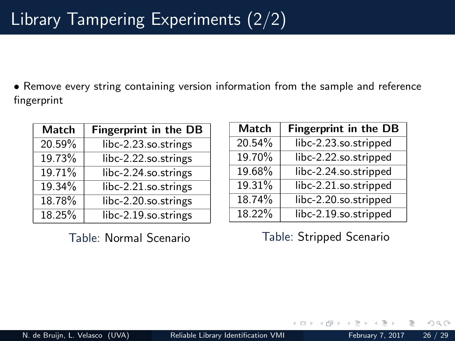• Remove every string containing version information from the sample and reference fingerprint

| Match  | <b>Fingerprint in the DB</b> |
|--------|------------------------------|
| 20.59% | libc-2.23.so.strings         |
| 19.73% | libc-2.22.so.strings         |
| 19.71% | libc-2.24.so.strings         |
| 19.34% | libc-2.21.so.strings         |
| 18.78% | libc-2.20.so.strings         |
| 18.25% | libc-2.19.so.strings         |

Table: Normal Scenario

| Match  | <b>Fingerprint in the DB</b> |
|--------|------------------------------|
| 20.54% | libc-2.23.so.stripped        |
| 19.70% | libc-2.22.so.stripped        |
| 19.68% | libc-2.24.so.stripped        |
| 19.31% | libc-2.21.so.stripped        |
| 18.74% | libc-2.20.so.stripped        |
| 18.22% | libc-2.19.so.stripped        |

Table: Stripped Scenario

 $\Omega$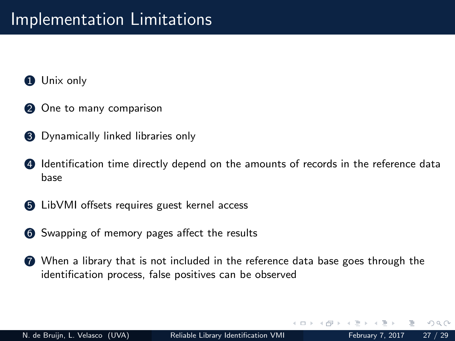- **1** Unix only
- 2 One to many comparison
- **3** Dynamically linked libraries only
- **4** Identification time directly depend on the amounts of records in the reference data base
- **6** LibVMI offsets requires guest kernel access
- **6** Swapping of memory pages affect the results
- **7** When a library that is not included in the reference data base goes through the identification process, false positives can be observed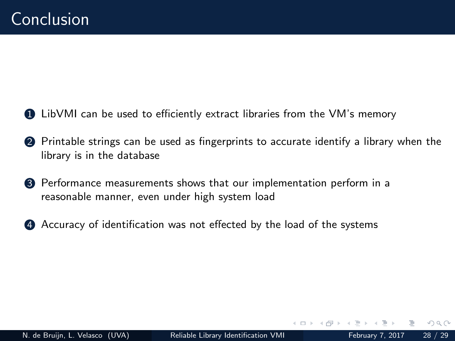- 1 LibVMI can be used to efficiently extract libraries from the VM's memory
- 2 Printable strings can be used as fingerprints to accurate identify a library when the library is in the database
- **3** Performance measurements shows that our implementation perform in a reasonable manner, even under high system load
- 4 Accuracy of identification was not effected by the load of the systems